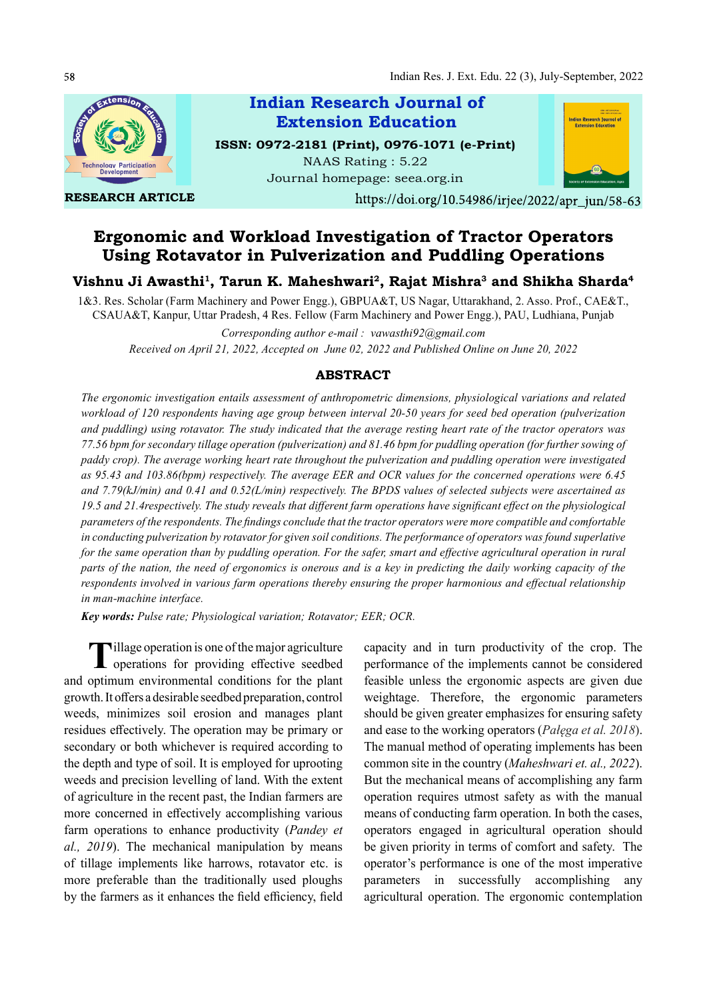

RESEARCH ARTICLE



https://doi.org/10.54986/irjee/2022/apr\_jun/58-63

# Ergonomic and Workload Investigation of Tractor Operators Using Rotavator in Pulverization and Puddling Operations

## Vishnu Ji Awasthi<sup>1</sup>, Tarun K. Maheshwari<sup>2</sup>, Rajat Mishra<sup>3</sup> and Shikha Sharda<sup>4</sup>

1&3. Res. Scholar (Farm Machinery and Power Engg.), GBPUA&T, US Nagar, Uttarakhand, 2. Asso. Prof., CAE&T., CSAUA&T, Kanpur, Uttar Pradesh, 4 Res. Fellow (Farm Machinery and Power Engg.), PAU, Ludhiana, Punjab

Corresponding author e-mail : vawasthi92@gmail.com Received on April 21, 2022, Accepted on June 02, 2022 and Published Online on June 20, 2022

### ABSTRACT

The ergonomic investigation entails assessment of anthropometric dimensions, physiological variations and related workload of 120 respondents having age group between interval 20-50 years for seed bed operation (pulverization and puddling) using rotavator. The study indicated that the average resting heart rate of the tractor operators was 77.56 bpm for secondary tillage operation (pulverization) and 81.46 bpm for puddling operation (for further sowing of paddy crop). The average working heart rate throughout the pulverization and puddling operation were investigated as 95.43 and 103.86(bpm) respectively. The average EER and OCR values for the concerned operations were 6.45 and 7.79(kJ/min) and 0.41 and 0.52(L/min) respectively. The BPDS values of selected subjects were ascertained as  $19.5$  and  $21.4$ respectively. The study reveals that different farm operations have significant effect on the physiological parameters of the respondents. The findings conclude that the tractor operators were more compatible and comfortable in conducting pulverization by rotavator for given soil conditions. The performance of operators was found superlative for the same operation than by puddling operation. For the safer, smart and effective agricultural operation in rural parts of the nation, the need of ergonomics is onerous and is a key in predicting the daily working capacity of the respondents involved in various farm operations thereby ensuring the proper harmonious and effectual relationship in man-machine interface.

Key words: Pulse rate; Physiological variation; Rotavator; EER; OCR.

Tillage operation is one of the major agriculture capacity and independence of the major agriculture capacity and intervalse of the major agriculture capacity and intervalse of the major agriculture capacity and intervalse  $\mathsf L$  operations for providing effective seedbed and optimum environmental conditions for the plant growth. It offers a desirable seedbed preparation, control weeds, minimizes soil erosion and manages plant residues effectively. The operation may be primary or and ease to the working operators (*Palega et al. 2018*). secondary or both whichever is required according to the depth and type of soil. It is employed for uprooting weeds and precision levelling of land. With the extent of agriculture in the recent past, the Indian farmers are more concerned in effectively accomplishing various farm operations to enhance productivity (Pandey et al., 2019). The mechanical manipulation by means of tillage implements like harrows, rotavator etc. is more preferable than the traditionally used ploughs by the farmers as it enhances the field efficiency, field

capacity and in turn productivity of the crop. The performance of the implements cannot be considered feasible unless the ergonomic aspects are given due weightage. Therefore, the ergonomic parameters should be given greater emphasizes for ensuring safety The manual method of operating implements has been common site in the country (Maheshwari et. al., 2022). But the mechanical means of accomplishing any farm operation requires utmost safety as with the manual means of conducting farm operation. In both the cases, operators engaged in agricultural operation should be given priority in terms of comfort and safety. The operator's performance is one of the most imperative parameters in successfully accomplishing any agricultural operation. The ergonomic contemplation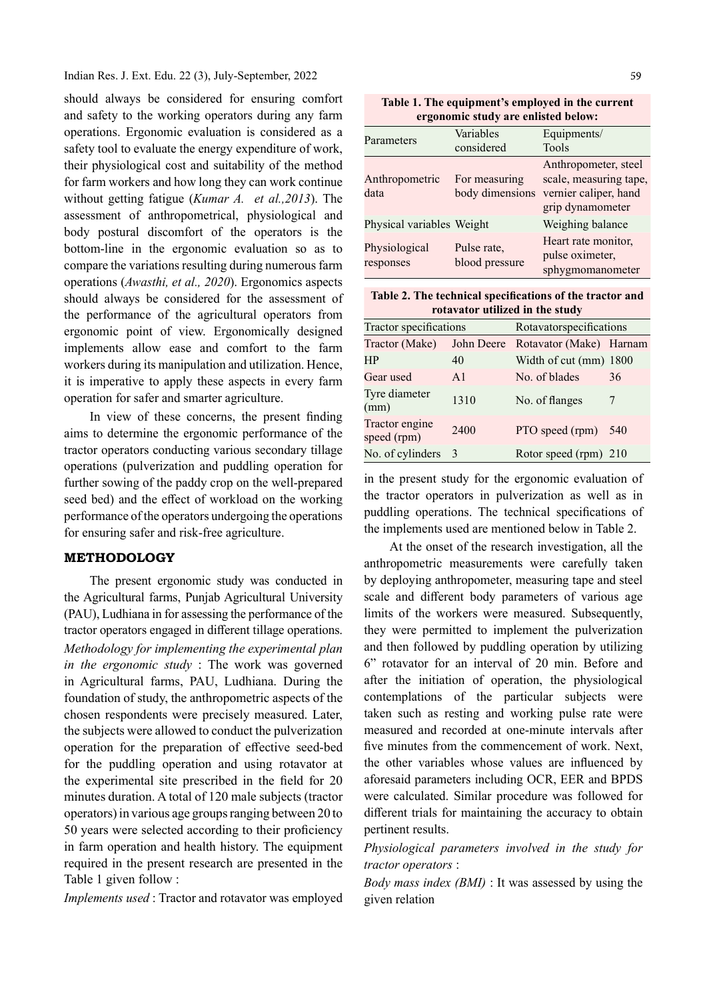Indian Res. J. Ext. Edu. 22 (3), July-September, 2022

should always be considered for ensuring comfort and safety to the working operators during any farm operations. Ergonomic evaluation is considered as a safety tool to evaluate the energy expenditure of work, their physiological cost and suitability of the method for farm workers and how long they can work continue without getting fatigue (*Kumar A. et al., 2013*). The assessment of anthropometrical, physiological and body postural discomfort of the operators is the bottom-line in the ergonomic evaluation so as to compare the variations resulting during numerous farm operations (Awasthi, et al., 2020). Ergonomics aspects should always be considered for the assessment of the performance of the agricultural operators from ergonomic point of view. Ergonomically designed implements allow ease and comfort to the farm workers during its manipulation and utilization. Hence, it is imperative to apply these aspects in every farm operation for safer and smarter agriculture.

In view of these concerns, the present finding aims to determine the ergonomic performance of the tractor operators conducting various secondary tillage operations (pulverization and puddling operation for further sowing of the paddy crop on the well-prepared seed bed) and the effect of workload on the working performance of the operators undergoing the operations for ensuring safer and risk-free agriculture.

### METHODOLOGY

The present ergonomic study was conducted in the Agricultural farms, Punjab Agricultural University (PAU), Ludhiana in for assessing the performance of the tractor operators engaged in different tillage operations. Methodology for implementing the experimental plan in the ergonomic study : The work was governed in Agricultural farms, PAU, Ludhiana. During the foundation of study, the anthropometric aspects of the chosen respondents were precisely measured. Later, the subjects were allowed to conduct the pulverization operation for the preparation of effective seed-bed for the puddling operation and using rotavator at the experimental site prescribed in the field for  $20$ minutes duration. A total of 120 male subjects (tractor operators) in various age groups ranging between 20 to 50 years were selected according to their proficiency in farm operation and health history. The equipment required in the present research are presented in the Table 1 given follow :

Implements used : Tractor and rotavator was employed

Table 1. The equipment's employed in the current ergonomic study are enlisted below:

|            |                           | Variables                     | Equipments/                                                |
|------------|---------------------------|-------------------------------|------------------------------------------------------------|
| Parameters |                           | considered                    | Tools                                                      |
|            |                           |                               | Anthropometer, steel                                       |
|            | Anthropometric            | For measuring                 | scale, measuring tape,                                     |
| data       |                           | body dimensions               | vernier caliper, hand                                      |
|            |                           |                               | grip dynamometer                                           |
|            | Physical variables Weight |                               | Weighing balance                                           |
| responses  | Physiological             | Pulse rate,<br>blood pressure | Heart rate monitor,<br>pulse oximeter,<br>sphygmomanometer |

| Table 2. The technical specifications of the tractor and |                                 |  |
|----------------------------------------------------------|---------------------------------|--|
|                                                          | rotavator utilized in the study |  |

| Tractor specifications        |                | Rotavatorspecifications |     |  |  |
|-------------------------------|----------------|-------------------------|-----|--|--|
| Tractor (Make)                | John Deere     | Rotavator (Make) Harnam |     |  |  |
| <b>HP</b>                     | 40             | Width of cut (mm) 1800  |     |  |  |
| Gear used                     | A <sub>1</sub> | No. of blades           | 36  |  |  |
| Tyre diameter<br>(mm)         | 1310           | No. of flanges          |     |  |  |
| Tractor engine<br>speed (rpm) | 2400           | PTO speed (rpm)         | 540 |  |  |
| No. of cylinders 3            |                | Rotor speed (rpm) 210   |     |  |  |

in the present study for the ergonomic evaluation of the tractor operators in pulverization as well as in puddling operations. The technical specifications of the implements used are mentioned below in Table 2.

At the onset of the research investigation, all the anthropometric measurements were carefully taken by deploying anthropometer, measuring tape and steel scale and different body parameters of various age limits of the workers were measured. Subsequently, they were permitted to implement the pulverization and then followed by puddling operation by utilizing 6" rotavator for an interval of 20 min. Before and after the initiation of operation, the physiological contemplations of the particular subjects were taken such as resting and working pulse rate were measured and recorded at one-minute intervals after five minutes from the commencement of work. Next, the other variables whose values are influenced by aforesaid parameters including OCR, EER and BPDS were calculated. Similar procedure was followed for different trials for maintaining the accuracy to obtain pertinent results.

Physiological parameters involved in the study for tractor operators :

Body mass index (BMI) : It was assessed by using the given relation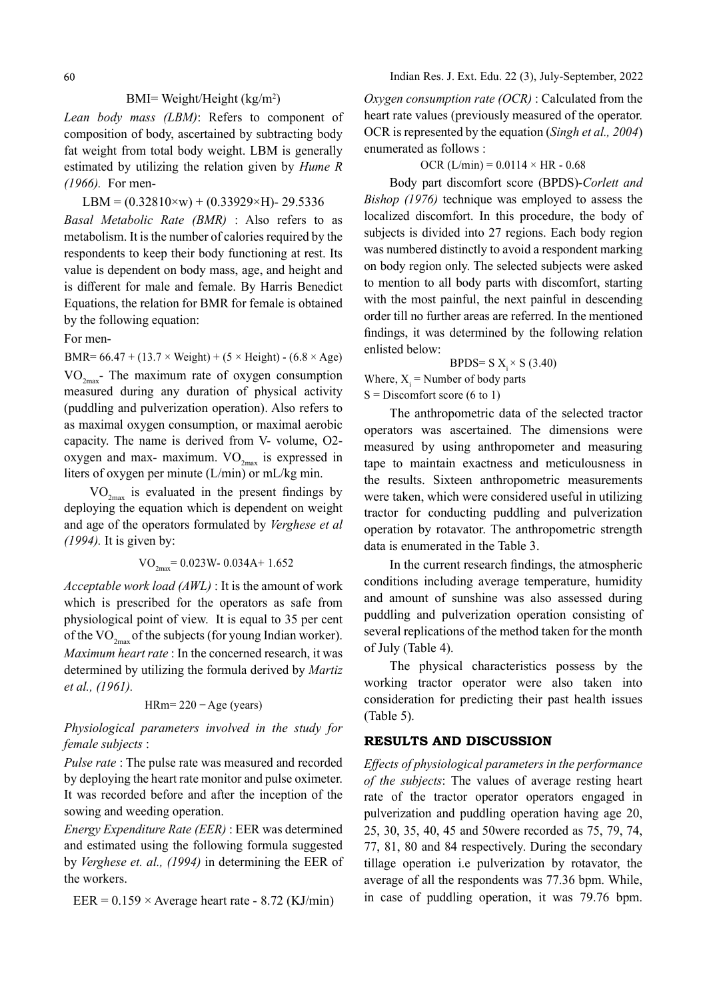Lean body mass (LBM): Refers to component of composition of body, ascertained by subtracting body fat weight from total body weight. LBM is generally estimated by utilizing the relation given by Hume R (1966). For men-

### LBM =  $(0.32810 \times w) + (0.33929 \times H)$ - 29.5336

Basal Metabolic Rate (BMR) : Also refers to as metabolism. It is the number of calories required by the respondents to keep their body functioning at rest. Its value is dependent on body mass, age, and height and is different for male and female. By Harris Benedict Equations, the relation for BMR for female is obtained by the following equation:

For men-

BMR=  $66.47 + (13.7 \times Weight) + (5 \times Height) - (6.8 \times Age)$  $VO_{2<sub>max</sub>}$ - The maximum rate of oxygen consumption measured during any duration of physical activity (puddling and pulverization operation). Also refers to as maximal oxygen consumption, or maximal aerobic capacity. The name is derived from V- volume, O2 oxygen and max- maximum.  $VO_{2max}$  is expressed in liters of oxygen per minute (L/min) or mL/kg min.

 $VO_{2<sub>max</sub>}$  is evaluated in the present findings by deploying the equation which is dependent on weight and age of the operators formulated by Verghese et al (1994). It is given by:

$$
VO_{2\text{max}} = 0.023 \text{W} - 0.034 \text{A} + 1.652
$$

Acceptable work load (AWL) : It is the amount of work which is prescribed for the operators as safe from physiological point of view. It is equal to 35 per cent of the  $VO_{2mav}$  of the subjects (for young Indian worker). Maximum heart rate : In the concerned research, it was determined by utilizing the formula derived by Martiz et al., (1961).

$$
HRm = 220 - Age (years)
$$

Physiological parameters involved in the study for female subjects :

Pulse rate : The pulse rate was measured and recorded by deploying the heart rate monitor and pulse oximeter. It was recorded before and after the inception of the sowing and weeding operation.

Energy Expenditure Rate (EER) : EER was determined and estimated using the following formula suggested by Verghese et. al., (1994) in determining the EER of the workers.

EER =  $0.159 \times$  Average heart rate - 8.72 (KJ/min)

Oxygen consumption rate (OCR) : Calculated from the heart rate values (previously measured of the operator. OCR is represented by the equation (Singh et al., 2004) enumerated as follows :

### OCR  $(L/min) = 0.0114 \times HR - 0.68$

Body part discomfort score (BPDS)-Corlett and Bishop (1976) technique was employed to assess the localized discomfort. In this procedure, the body of subjects is divided into 27 regions. Each body region was numbered distinctly to avoid a respondent marking on body region only. The selected subjects were asked to mention to all body parts with discomfort, starting with the most painful, the next painful in descending order till no further areas are referred. In the mentioned findings, it was determined by the following relation enlisted below:

BPDS= S  $X_i \times S$  (3.40)

Where,  $X_i$  = Number of body parts  $S =$ Discomfort score (6 to 1)

The anthropometric data of the selected tractor operators was ascertained. The dimensions were measured by using anthropometer and measuring tape to maintain exactness and meticulousness in the results. Sixteen anthropometric measurements were taken, which were considered useful in utilizing tractor for conducting puddling and pulverization operation by rotavator. The anthropometric strength data is enumerated in the Table 3.

In the current research findings, the atmospheric conditions including average temperature, humidity and amount of sunshine was also assessed during puddling and pulverization operation consisting of several replications of the method taken for the month of July (Table 4).

The physical characteristics possess by the working tractor operator were also taken into consideration for predicting their past health issues (Table 5).

## RESULTS AND DISCUSSION

Effects of physiological parameters in the performance of the subjects: The values of average resting heart rate of the tractor operator operators engaged in pulverization and puddling operation having age 20, 25, 30, 35, 40, 45 and 50were recorded as 75, 79, 74, 77, 81, 80 and 84 respectively. During the secondary tillage operation i.e pulverization by rotavator, the average of all the respondents was 77.36 bpm. While, in case of puddling operation, it was 79.76 bpm.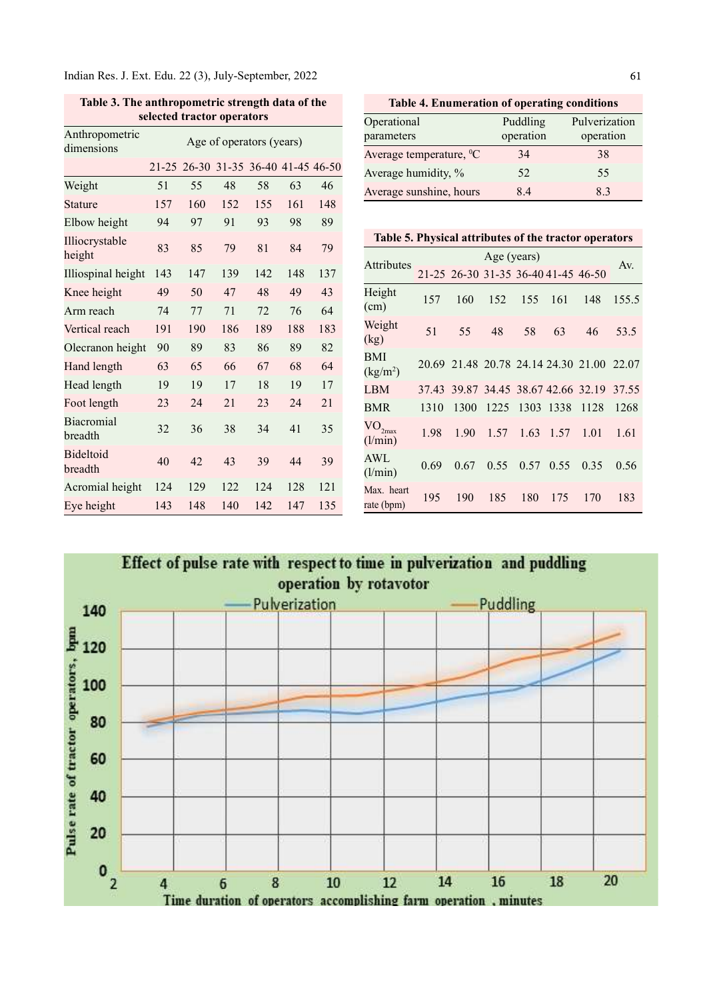Indian Res. J. Ext. Edu. 22 (3), July-September, 2022

| selected tractor operators   |                          |                                     |     |     |     |     |  |  |  |  |  |
|------------------------------|--------------------------|-------------------------------------|-----|-----|-----|-----|--|--|--|--|--|
| Anthropometric<br>dimensions | Age of operators (years) |                                     |     |     |     |     |  |  |  |  |  |
|                              |                          | 21-25 26-30 31-35 36-40 41-45 46-50 |     |     |     |     |  |  |  |  |  |
| Weight                       | 51                       | 55                                  | 48  | 58  | 63  | 46  |  |  |  |  |  |
| Stature                      | 157                      | 160                                 | 152 | 155 | 161 | 148 |  |  |  |  |  |
| Elbow height                 | 94                       | 97                                  | 91  | 93  | 98  | 89  |  |  |  |  |  |
| Illiocrystable<br>height     | 83                       | 85                                  | 79  | 81  | 84  | 79  |  |  |  |  |  |
| Illiospinal height           | 143                      | 147                                 | 139 | 142 | 148 | 137 |  |  |  |  |  |
| Knee height                  | 49                       | 50                                  | 47  | 48  | 49  | 43  |  |  |  |  |  |
| Arm reach                    | 74                       | 77                                  | 71  | 72  | 76  | 64  |  |  |  |  |  |
| Vertical reach               | 191                      | 190                                 | 186 | 189 | 188 | 183 |  |  |  |  |  |
| Olecranon height             | 90                       | 89                                  | 83  | 86  | 89  | 82  |  |  |  |  |  |
| Hand length                  | 63                       | 65                                  | 66  | 67  | 68  | 64  |  |  |  |  |  |
| Head length                  | 19                       | 19                                  | 17  | 18  | 19  | 17  |  |  |  |  |  |
| Foot length                  | 23                       | 24                                  | 21  | 23  | 24  | 21  |  |  |  |  |  |
| <b>Biacromial</b><br>breadth | 32                       | 36                                  | 38  | 34  | 41  | 35  |  |  |  |  |  |
| <b>Bideltoid</b><br>breadth  | 40                       | 42                                  | 43  | 39  | 44  | 39  |  |  |  |  |  |
| Acromial height              | 124                      | 129                                 | 122 | 124 | 128 | 121 |  |  |  |  |  |
| Eye height                   | 143                      | 148                                 | 140 | 142 | 147 | 135 |  |  |  |  |  |

Table 3. The anthropometric strength data of the

Table 4. Enumeration of operating conditions

| Operational                    | Puddling  | Pulverization |
|--------------------------------|-----------|---------------|
| parameters                     | operation | operation     |
| Average temperature, ${}^{0}C$ | 34        | 38            |
| Average humidity, %            | 52.       | 55            |
| Average sunshine, hours        | 8.4       | 83            |

|  |  | Table 5. Physical attributes of the tractor operators |
|--|--|-------------------------------------------------------|
|  |  |                                                       |

|                                          | Age (years) |                                     |      |      |           |                                           |       |  |  |  |
|------------------------------------------|-------------|-------------------------------------|------|------|-----------|-------------------------------------------|-------|--|--|--|
| Attributes                               |             | 21-25 26-30 31-35 36-40 41-45 46-50 |      |      |           |                                           | Av.   |  |  |  |
| Height<br>(cm)                           | 157         | 160                                 | 152  | 155  | 161       | 148                                       | 155.5 |  |  |  |
| Weight<br>(kg)                           | 51          | 55                                  | 48   | 58   | 63        | 46                                        | 53.5  |  |  |  |
| BMI<br>(kg/m <sup>2</sup> )              |             |                                     |      |      |           | 20.69 21.48 20.78 24.14 24.30 21.00 22.07 |       |  |  |  |
| LBM                                      |             |                                     |      |      |           | 37.43 39.87 34.45 38.67 42.66 32.19 37.55 |       |  |  |  |
| BMR                                      | 1310        | 1300                                | 1225 |      | 1303 1338 | 1128                                      | 1268  |  |  |  |
| $\mathrm{VO}_{2\mathrm{max}}$<br>(l/min) | 1.98        | 1.90                                | 1.57 |      | 1.63 1.57 | 1.01                                      | 1.61  |  |  |  |
| AWL<br>(l/min)                           | 0.69        | 0.67                                | 0.55 | 0.57 | 0.55      | 0.35                                      | 0.56  |  |  |  |
| Max. heart<br>rate (bpm)                 | 195         | 190                                 | 185  | 180  | 175       | 170                                       | 183   |  |  |  |

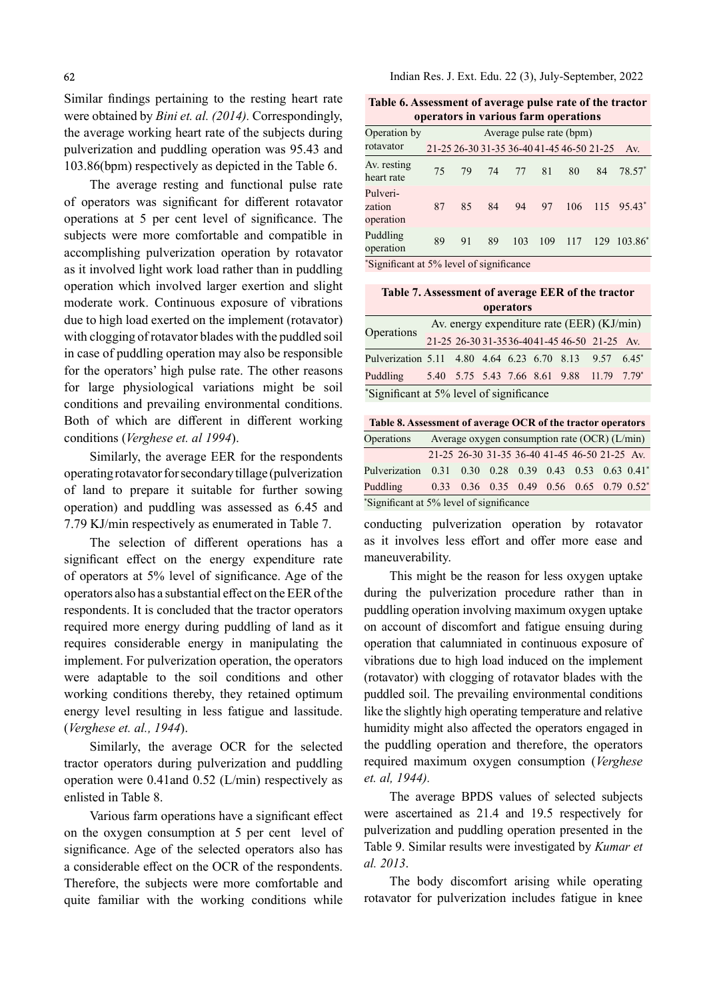Similar findings pertaining to the resting heart rate were obtained by Bini et. al. (2014). Correspondingly, the average working heart rate of the subjects during pulverization and puddling operation was 95.43 and 103.86(bpm) respectively as depicted in the Table 6.

The average resting and functional pulse rate of operators was significant for different rotavator operations at 5 per cent level of significance. The subjects were more comfortable and compatible in accomplishing pulverization operation by rotavator as it involved light work load rather than in puddling operation which involved larger exertion and slight moderate work. Continuous exposure of vibrations due to high load exerted on the implement (rotavator) with clogging of rotavator blades with the puddled soil in case of puddling operation may also be responsible for the operators' high pulse rate. The other reasons for large physiological variations might be soil conditions and prevailing environmental conditions. Both of which are different in different working conditions (Verghese et. al 1994).

Similarly, the average EER for the respondents operating rotavator for secondary tillage (pulverization of land to prepare it suitable for further sowing operation) and puddling was assessed as 6.45 and 7.79 KJ/min respectively as enumerated in Table 7.

The selection of different operations has a significant effect on the energy expenditure rate of operators at 5% level of significance. Age of the operators also has a substantial effect on the EER of the respondents. It is concluded that the tractor operators required more energy during puddling of land as it requires considerable energy in manipulating the implement. For pulverization operation, the operators were adaptable to the soil conditions and other working conditions thereby, they retained optimum energy level resulting in less fatigue and lassitude. (Verghese et. al., 1944).

Similarly, the average OCR for the selected tractor operators during pulverization and puddling operation were 0.41and 0.52 (L/min) respectively as enlisted in Table 8.

Various farm operations have a significant effect on the oxygen consumption at 5 per cent level of significance. Age of the selected operators also has a considerable effect on the OCR of the respondents. Therefore, the subjects were more comfortable and quite familiar with the working conditions while Indian Res. J. Ext. Edu. 22 (3), July-September, 2022

Table 6. Assessment of average pulse rate of the tractor operators in various farm operations

| Operation by                    | Average pulse rate (bpm)                  |                 |    |     |     |     |     |                     |  |  |  |
|---------------------------------|-------------------------------------------|-----------------|----|-----|-----|-----|-----|---------------------|--|--|--|
| rotavator                       | 21-25 26-30 31-35 36-40 41-45 46-50 21-25 |                 |    |     |     |     |     | Av.                 |  |  |  |
| Av. resting<br>heart rate       | 75                                        | 79              | 74 | 77  | 81  | 80  | 84  | $78.57*$            |  |  |  |
| Pulveri-<br>zation<br>operation | 87                                        | 85              | 84 | 94  | 97  | 106 |     | $115 \quad 95.43^*$ |  |  |  |
| Puddling<br>operation           | 89                                        | 91              | 89 | 103 | 109 | 117 | 129 | $103.86^*$          |  |  |  |
| $* \sim$<br>$\cdot$ $\sim$      |                                           | $\cdot$ $\cdot$ |    |     |     |     |     |                     |  |  |  |

Significant at 5% level of significance

#### Table 7. Assessment of average EER of the tractor operators

| Operations<br>Puddling                                 |  |  |  | Av. energy expenditure rate (EER) (KJ/min)  |  |
|--------------------------------------------------------|--|--|--|---------------------------------------------|--|
|                                                        |  |  |  | 21-25 26-30 31-3536-4041-45 46-50 21-25 Av. |  |
| Pulverization 5.11 4.80 4.64 6.23 6.70 8.13 9.57 6.45* |  |  |  |                                             |  |
|                                                        |  |  |  | $5.40$ 5.75 5.43 7.66 8.61 9.88 11.79 7.79* |  |
| *Significant at 5% level of significance               |  |  |  |                                             |  |

| Table 8. Assessment of average OCR of the tractor operators |  |                                                                      |  |  |  |  |  |  |  |  |  |
|-------------------------------------------------------------|--|----------------------------------------------------------------------|--|--|--|--|--|--|--|--|--|
| Operations                                                  |  | Average oxygen consumption rate $(OCR)$ ( $L/min$ )                  |  |  |  |  |  |  |  |  |  |
|                                                             |  | 21-25 26-30 31-35 36-40 41-45 46-50 21-25 Av.                        |  |  |  |  |  |  |  |  |  |
| Pulverization                                               |  | $0.31$ $0.30$ $0.28$ $0.39$ $0.43$ $0.53$ $0.63$ $0.41$ <sup>*</sup> |  |  |  |  |  |  |  |  |  |
| Puddling                                                    |  | $0.33$ $0.36$ $0.35$ $0.49$ $0.56$ $0.65$ $0.79$ $0.52$ <sup>*</sup> |  |  |  |  |  |  |  |  |  |
| *Significant at 5% level of significance                    |  |                                                                      |  |  |  |  |  |  |  |  |  |

conducting pulverization operation by rotavator as it involves less effort and offer more ease and maneuverability.

This might be the reason for less oxygen uptake during the pulverization procedure rather than in puddling operation involving maximum oxygen uptake on account of discomfort and fatigue ensuing during operation that calumniated in continuous exposure of vibrations due to high load induced on the implement (rotavator) with clogging of rotavator blades with the puddled soil. The prevailing environmental conditions like the slightly high operating temperature and relative humidity might also affected the operators engaged in the puddling operation and therefore, the operators required maximum oxygen consumption (Verghese et. al, 1944).

The average BPDS values of selected subjects were ascertained as 21.4 and 19.5 respectively for pulverization and puddling operation presented in the Table 9. Similar results were investigated by Kumar et al. 2013.

The body discomfort arising while operating rotavator for pulverization includes fatigue in knee